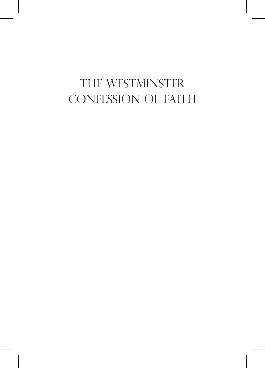### the westminster cONFESSION of faith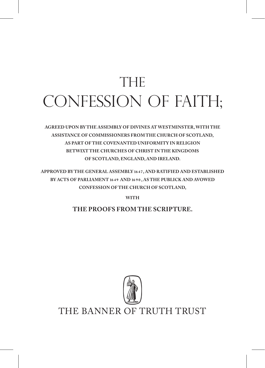# **THE** CONFESSION of faith;

**agreed upon by the Assembly of Divines at Westminster, with the assistance of Commissioners from the Church of Scotland, as part of the covenanted uniformity in Religion betwixt the Churches of Christ in the Kingdoms of Scotland, England, and Ireland.**

**Approved by the General Assembly 16 4 7, and Ratified and Established by Acts of Parliament 16 4 9 and 16 9 0 , as the PublicK and Avowed Confession of the Church of Scotland,** 

**with** 

**The Proofs from the Scripture.**

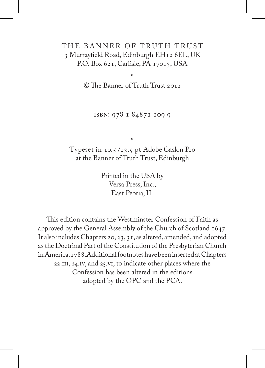#### THE BANNER OF TRUTH TRUST 3 Murrayfield Road, Edinburgh EH12 6EL, UK P.O. Box 621, Carlisle, PA 17013, USA

\*

© The Banner of Truth Trust 2012

isbn: 978 1 84871 109 9

\* Typeset in 10.5 /13.5 pt Adobe Caslon Pro at the Banner of Truth Trust, Edinburgh

> Printed in the USA by Versa Press, Inc., East Peoria, IL

This edition contains the Westminster Confession of Faith as approved by the General Assembly of the Church of Scotland 1647. It also includes Chapters 20, 23, 31, as altered, amended, and adopted as the Doctrinal Part of the Constitution of the Presbyterian Church in America, 1788. Additional footnotes have been inserted at Chapters 22.iii, 24.iv, and 25.vi, to indicate other places where the Confession has been altered in the editions adopted by the OPC and the PCA.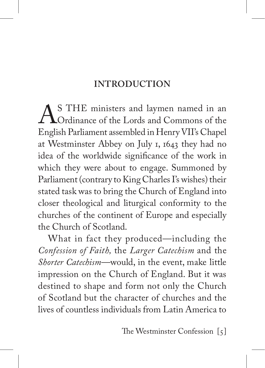#### **Introduction**

AS THE ministers and laymen named in an<br>Cordinance of the Lords and Commons of the<br>English Parliament assembled in Henry VII's Chanel English Parliament assembled in Henry VII's Chapel at Westminster Abbey on July 1, 1643 they had no idea of the worldwide significance of the work in which they were about to engage. Summoned by Parliament (contrary to King Charles I's wishes) their stated task was to bring the Church of England into closer theological and liturgical conformity to the churches of the continent of Europe and especially the Church of Scotland.

What in fact they produced—including the *Confession of Faith,* the *Larger Catechism* and the *Shorter Catechism*—would, in the event, make little impression on the Church of England. But it was destined to shape and form not only the Church of Scotland but the character of churches and the lives of countless individuals from Latin America to

The Westminster Confession[5]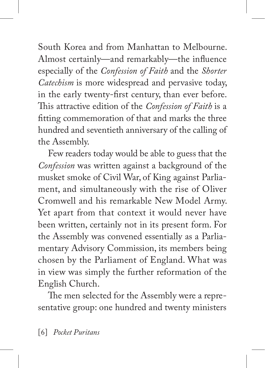South Korea and from Manhattan to Melbourne. Almost certainly—and remarkably—the influence especially of the *Confession of Faith* and the *Shorter Catechism* is more widespread and pervasive today, in the early twenty-first century, than ever before. This attractive edition of the *Confession of Faith* is a fitting commemoration of that and marks the three hundred and seventieth anniversary of the calling of the Assembly.

Few readers today would be able to guess that the *Confession* was written against a background of the musket smoke of Civil War, of King against Parliament, and simultaneously with the rise of Oliver Cromwell and his remarkable New Model Army. Yet apart from that context it would never have been written, certainly not in its present form. For the Assembly was convened essentially as a Parliamentary Advisory Commission, its members being chosen by the Parliament of England. What was in view was simply the further reformation of the English Church.

The men selected for the Assembly were a representative group: one hundred and twenty ministers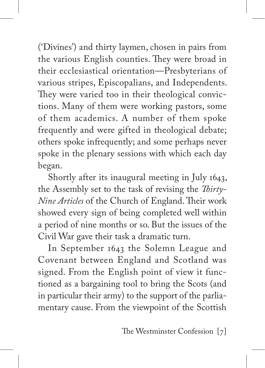('Divines') and thirty laymen, chosen in pairs from the various English counties. They were broad in their ecclesiastical orientation—Presbyterians of various stripes, Episcopalians, and Independents. They were varied too in their theological convictions. Many of them were working pastors, some of them academics. A number of them spoke frequently and were gifted in theological debate; others spoke infrequently; and some perhaps never spoke in the plenary sessions with which each day began.

Shortly after its inaugural meeting in July 1643, the Assembly set to the task of revising the *Thirty-Nine Articles* of the Church of England. Their work showed every sign of being completed well within a period of nine months or so. But the issues of the Civil War gave their task a dramatic turn.

In September 1643 the Solemn League and Covenant between England and Scotland was signed. From the English point of view it functioned as a bargaining tool to bring the Scots (and in particular their army) to the support of the parliamentary cause. From the viewpoint of the Scottish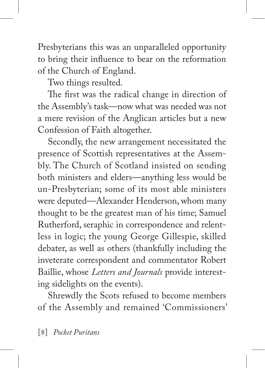Presbyterians this was an unparalleled opportunity to bring their influence to bear on the reformation of the Church of England.

Two things resulted.

The first was the radical change in direction of the Assembly's task—now what was needed was not a mere revision of the Anglican articles but a new Confession of Faith altogether.

Secondly, the new arrangement necessitated the presence of Scottish representatives at the Assembly. The Church of Scotland insisted on sending both ministers and elders—anything less would be un-Presbyterian; some of its most able ministers were deputed—Alexander Henderson, whom many thought to be the greatest man of his time; Samuel Rutherford, seraphic in correspondence and relentless in logic; the young George Gillespie, skilled debater, as well as others (thankfully including the inveterate correspondent and commentator Robert Baillie, whose *Letters and Journals* provide interesting sidelights on the events).

Shrewdly the Scots refused to become members of the Assembly and remained 'Commissioners'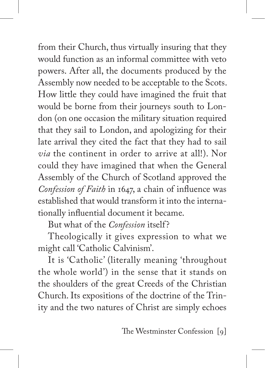from their Church, thus virtually insuring that they would function as an informal committee with veto powers. After all, the documents produced by the Assembly now needed to be acceptable to the Scots. How little they could have imagined the fruit that would be borne from their journeys south to London (on one occasion the military situation required that they sail to London, and apologizing for their late arrival they cited the fact that they had to sail *via* the continent in order to arrive at all!). Nor could they have imagined that when the General Assembly of the Church of Scotland approved the *Confession of Faith* in 1647, a chain of influence was established that would transform it into the internationally influential document it became.

But what of the *Confession* itself?

Theologically it gives expression to what we might call 'Catholic Calvinism'.

It is 'Catholic' (literally meaning 'throughout the whole world') in the sense that it stands on the shoulders of the great Creeds of the Christian Church. Its expositions of the doctrine of the Trinity and the two natures of Christ are simply echoes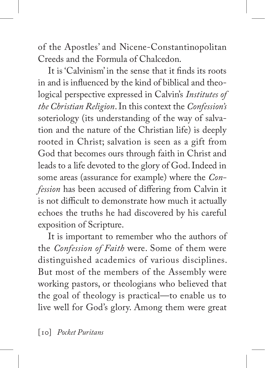of the Apostles' and Nicene-Constantinopolitan Creeds and the Formula of Chalcedon.

It is 'Calvinism' in the sense that it finds its roots in and is influenced by the kind of biblical and theological perspective expressed in Calvin's *Institutes of the Christian Religion*. In this context the *Confession's*  soteriology (its understanding of the way of salvation and the nature of the Christian life) is deeply rooted in Christ; salvation is seen as a gift from God that becomes ours through faith in Christ and leads to a life devoted to the glory of God. Indeed in some areas (assurance for example) where the *Confession* has been accused of differing from Calvin it is not difficult to demonstrate how much it actually echoes the truths he had discovered by his careful exposition of Scripture.

It is important to remember who the authors of the *Confession of Faith* were. Some of them were distinguished academics of various disciplines. But most of the members of the Assembly were working pastors, or theologians who believed that the goal of theology is practical—to enable us to live well for God's glory. Among them were great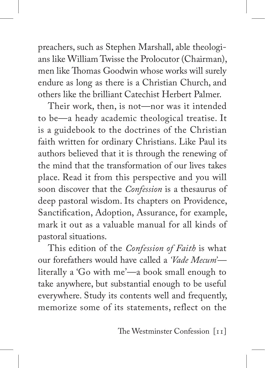preachers, such as Stephen Marshall, able theologians like William Twisse the Prolocutor (Chairman), men like Thomas Goodwin whose works will surely endure as long as there is a Christian Church, and others like the brilliant Catechist Herbert Palmer.

Their work, then, is not—nor was it intended to be—a heady academic theological treatise. It is a guidebook to the doctrines of the Christian faith written for ordinary Christians. Like Paul its authors believed that it is through the renewing of the mind that the transformation of our lives takes place. Read it from this perspective and you will soon discover that the *Confession* is a thesaurus of deep pastoral wisdom. Its chapters on Providence, Sanctification, Adoption, Assurance, for example, mark it out as a valuable manual for all kinds of pastoral situations.

This edition of the *Confession of Faith* is what our forefathers would have called a *'Vade Mecum'* literally a 'Go with me'—a book small enough to take anywhere, but substantial enough to be useful everywhere. Study its contents well and frequently, memorize some of its statements, reflect on the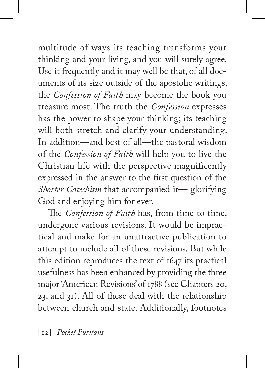multitude of ways its teaching transforms your thinking and your living, and you will surely agree. Use it frequently and it may well be that, of all documents of its size outside of the apostolic writings, the *Confession of Faith* may become the book you treasure most. The truth the *Confession* expresses has the power to shape your thinking; its teaching will both stretch and clarify your understanding. In addition—and best of all—the pastoral wisdom of the *Confession of Faith* will help you to live the Christian life with the perspective magnificently expressed in the answer to the first question of the *Shorter Catechism* that accompanied it— glorifying God and enjoying him for ever.

The *Confession of Faith* has, from time to time, undergone various revisions. It would be impractical and make for an unattractive publication to attempt to include all of these revisions. But while this edition reproduces the text of 1647 its practical usefulness has been enhanced by providing the three major 'American Revisions' of 1788 (see Chapters 20, 23, and 31). All of these deal with the relationship between church and state. Additionally, footnotes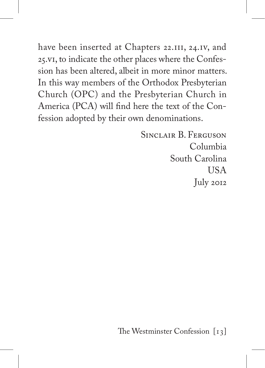have been inserted at Chapters 22.III, 24.IV, and 25.vi, to indicate the other places where the Confession has been altered, albeit in more minor matters. In this way members of the Orthodox Presbyterian Church (OPC) and the Presbyterian Church in America (PCA) will find here the text of the Confession adopted by their own denominations.

> Sinclair B. Ferguson Columbia South Carolina USA July 2012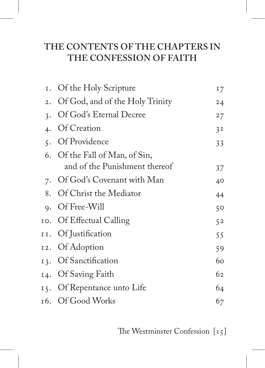### **The Contents of the Chapters in the Confession of Faith**

| 1. Of the Holy Scripture           | 17 |
|------------------------------------|----|
| 2. Of God, and of the Holy Trinity | 24 |
| 3. Of God's Eternal Decree         | 27 |
| 4. Of Creation                     | 3I |
| 5. Of Providence                   | 33 |
| 6. Of the Fall of Man, of Sin,     |    |
| and of the Punishment thereof      | 37 |
| 7. Of God's Covenant with Man      | 40 |
| 8. Of Christ the Mediator          | 44 |
| 9. Of Free-Will                    | 50 |
| 10. Of Effectual Calling           | 52 |
| II. Of Justification               | 55 |
| 12. Of Adoption                    | 59 |
| 13. Of Sanctification              | 60 |
| 14. Of Saving Faith                | 62 |
| 15. Of Repentance unto Life        | 64 |
| 16. Of Good Works                  | 67 |
|                                    |    |

The Westminster Confession[15]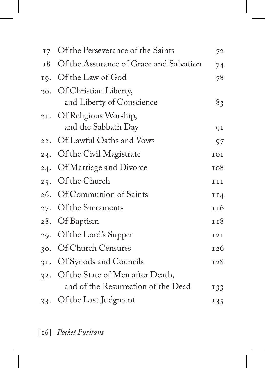| 17 Of the Perseverance of the Saints                                        | 72         |
|-----------------------------------------------------------------------------|------------|
| 18 Of the Assurance of Grace and Salvation                                  | 74         |
| 19. Of the Law of God                                                       | 78         |
| 20. Of Christian Liberty,<br>and Liberty of Conscience                      | 83         |
| 21. Of Religious Worship,<br>and the Sabbath Day                            | 9 I        |
| 22. Of Lawful Oaths and Vows                                                | 97         |
| 23. Of the Civil Magistrate                                                 | IOI        |
| 24. Of Marriage and Divorce                                                 | 108        |
| 25. Of the Church                                                           | III        |
| 26. Of Communion of Saints                                                  | II4        |
| Of the Sacraments                                                           | 116        |
| Of Baptism                                                                  | 118        |
| 29. Of the Lord's Supper                                                    | <b>I2I</b> |
| 30. Of Church Censures                                                      | 126        |
| 31. Of Synods and Councils                                                  | 128        |
| 32. Of the State of Men after Death,<br>and of the Resurrection of the Dead | 133        |
| 33. Of the Last Judgment                                                    | 135        |
|                                                                             |            |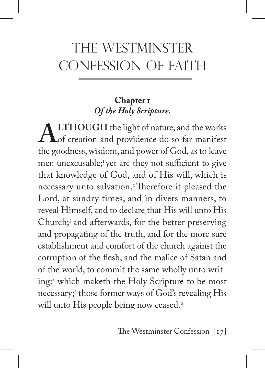## the wESTMINSTER CONFESSION OF FAITH

#### **Chapter 1** *Of the Holy Scripture.*

ALTHOUGH the light of nature, and the works<br>the goodness wisdom and power of God as to leave the goodness, wisdom, and power of God, as to leave men unexcusable;<sup>1</sup> yet are they not sufficient to give that knowledge of God, and of His will, which is necessary unto salvation.2 Therefore it pleased the Lord, at sundry times, and in divers manners, to reveal Himself, and to declare that His will unto His Church;3 and afterwards, for the better preserving and propagating of the truth, and for the more sure establishment and comfort of the church against the corruption of the flesh, and the malice of Satan and of the world, to commit the same wholly unto writing:4 which maketh the Holy Scripture to be most necessary;5 those former ways of God's revealing His will unto His people being now ceased.<sup>6</sup>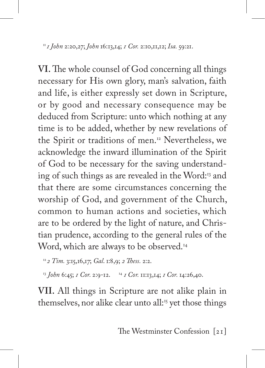<sup>11</sup>*1 John* 2:20,27; *John* 16:13,14; *1 Cor.* 2:10,11,12; *Isa.* 59:21.

**VI.** The whole counsel of God concerning all things necessary for His own glory, man's salvation, faith and life, is either expressly set down in Scripture, or by good and necessary consequence may be deduced from Scripture: unto which nothing at any time is to be added, whether by new revelations of the Spirit or traditions of men.<sup>12</sup> Nevertheless, we acknowledge the inward illumination of the Spirit of God to be necessary for the saving understanding of such things as are revealed in the Word:<sup>13</sup> and that there are some circumstances concerning the worship of God, and government of the Church, common to human actions and societies, which are to be ordered by the light of nature, and Christian prudence, according to the general rules of the Word, which are always to be observed.<sup>14</sup>

<sup>12</sup>*2 Tim.* 3:15,16,17; *Gal*. 1:8,9; *2 Thess.* 2:2.

<sup>13</sup> *John* 6:45; *1 Cor.* 2:9-12. 14 *1 Cor.* 11:13,14; *1 Cor.* 14:26,40.

**VII.** All things in Scripture are not alike plain in themselves, nor alike clear unto all:<sup>15</sup> yet those things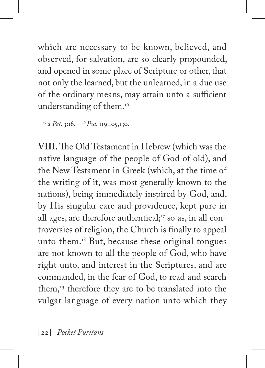which are necessary to be known, believed, and observed, for salvation, are so clearly propounded, and opened in some place of Scripture or other, that not only the learned, but the unlearned, in a due use of the ordinary means, may attain unto a sufficient understanding of them.<sup>16</sup>

<sup>15</sup> *2 Pet*. 3:16. 16 *Psa*. 119:105,130.

**VIII.** The Old Testament in Hebrew (which was the native language of the people of God of old), and the New Testament in Greek (which, at the time of the writing of it, was most generally known to the nations), being immediately inspired by God, and, by His singular care and providence, kept pure in all ages, are therefore authentical; $\frac{1}{7}$  so as, in all controversies of religion, the Church is finally to appeal unto them.18 But, because these original tongues are not known to all the people of God, who have right unto, and interest in the Scriptures, and are commanded, in the fear of God, to read and search them, $19$  therefore they are to be translated into the vulgar language of every nation unto which they

[22] *Pocket Puritans*